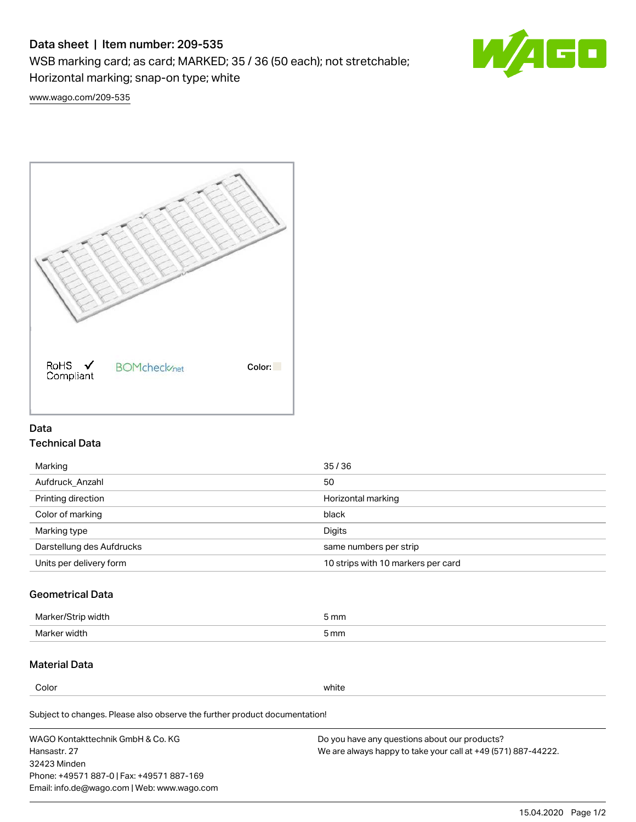# Data sheet | Item number: 209-535

WSB marking card; as card; MARKED; 35 / 36 (50 each); not stretchable;

Horizontal marking; snap-on type; white

60

[www.wago.com/209-535](http://www.wago.com/209-535)



### Data Technical Data

| 35/36                              |
|------------------------------------|
| 50                                 |
| Horizontal marking                 |
| black                              |
| Digits                             |
| same numbers per strip             |
| 10 strips with 10 markers per card |
|                                    |

## Geometrical Data

| <b>Marker</b><br>width | 5 mm |
|------------------------|------|
| Marker width           | 5 mm |

## Material Data

Color white

Subject to changes. Please also observe the further product documentation!

WAGO Kontakttechnik GmbH & Co. KG Hansastr. 27 32423 Minden Phone: +49571 887-0 | Fax: +49571 887-169 Email: info.de@wago.com | Web: www.wago.com Do you have any questions about our products? We are always happy to take your call at +49 (571) 887-44222.